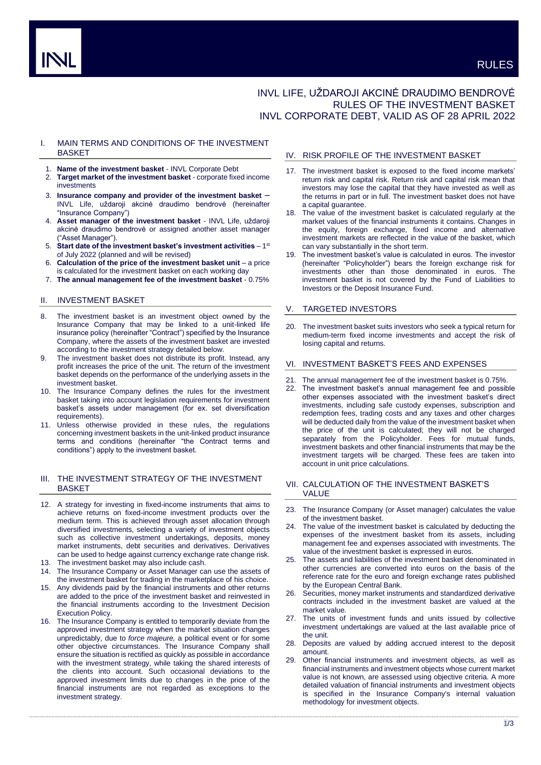# INVL LIFE, UŽDAROJI AKCINĖ DRAUDIMO BENDROVĖ RULES OF THE INVESTMENT BASKET INVL CORPORATE DEBT, VALID AS OF 28 APRIL 2022

# I. MAIN TERMS AND CONDITIONS OF THE INVESTMENT **BASKET**

- 1. **Name of the investment basket** INVL Corporate Debt
- 2. **Target market of the investment basket** corporate fixed income investments
- 3. **Insurance company and provider of the investment basket** INVL Life, uždaroji akcinė draudimo bendrovė (hereinafter "Insurance Company")
- 4. **Asset manager of the investment basket** INVL Life, uždaroji akcinė draudimo bendrovė or assigned another asset manager ("Asset Manager").
- 5. Start date of the investment basket's investment activities 1<sup>st</sup> of July 2022 (planned and will be revised)
- 6. **Calculation of the price of the investment basket unit**  a price is calculated for the investment basket on each working day
- 7. **The annual management fee of the investment basket** 0.75%

# II. INVESTMENT BASKET

- 8. The investment basket is an investment object owned by the Insurance Company that may be linked to a unit-linked life insurance policy (hereinafter "Contract") specified by the Insurance Company, where the assets of the investment basket are invested according to the investment strategy detailed below.
- 9. The investment basket does not distribute its profit. Instead, any profit increases the price of the unit. The return of the investment basket depends on the performance of the underlying assets in the investment basket.
- 10. The Insurance Company defines the rules for the investment basket taking into account legislation requirements for investment basket's assets under management (for ex. set diversification requirements).
- 11. Unless otherwise provided in these rules, the regulations concerning investment baskets in the unit-linked product insurance terms and conditions (hereinafter "the Contract terms and conditions") apply to the investment basket.

# III. THE INVESTMENT STRATEGY OF THE INVESTMENT BASKET

- 12. A strategy for investing in fixed-income instruments that aims to achieve returns on fixed-income investment products over the medium term. This is achieved through asset allocation through diversified investments, selecting a variety of investment objects such as collective investment undertakings, deposits, money market instruments, debt securities and derivatives. Derivatives can be used to hedge against currency exchange rate change risk.
- 13. The investment basket may also include cash.
- The Insurance Company or Asset Manager can use the assets of the investment basket for trading in the marketplace of his choice.
- 15. Any dividends paid by the financial instruments and other returns are added to the price of the investment basket and reinvested in the financial instruments according to the Investment Decision Execution Policy.
- 16. The Insurance Company is entitled to temporarily deviate from the approved investment strategy when the market situation changes unpredictably, due to *force majeure,* a political event or for some other objective circumstances. The Insurance Company shall ensure the situation is rectified as quickly as possible in accordance with the investment strategy, while taking the shared interests of the clients into account. Such occasional deviations to the approved investment limits due to changes in the price of the financial instruments are not regarded as exceptions to the investment strategy.

# IV. RISK PROFILE OF THE INVESTMENT BASKET

- 17. The investment basket is exposed to the fixed income markets' return risk and capital risk. Return risk and capital risk mean that investors may lose the capital that they have invested as well as the returns in part or in full. The investment basket does not have a capital guarantee.
- 18. The value of the investment basket is calculated regularly at the market values of the financial instruments it contains. Changes in the equity, foreign exchange, fixed income and alternative investment markets are reflected in the value of the basket, which can vary substantially in the short term.
- 19. The investment basket's value is calculated in euros. The investor (hereinafter "Policyholder") bears the foreign exchange risk for investments other than those denominated in euros. The investment basket is not covered by the Fund of Liabilities to Investors or the Deposit Insurance Fund.

## V. TARGETED INVESTORS

20. The investment basket suits investors who seek a typical return for medium-term fixed income investments and accept the risk of losing capital and returns.

# VI. INVESTMENT BASKET'S FEES AND EXPENSES

- 21. The annual management fee of the investment basket is 0.75%.
- 22. The investment basket's annual management fee and possible other expenses associated with the investment basket's direct investments, including safe custody expenses, subscription and redemption fees, trading costs and any taxes and other charges will be deducted daily from the value of the investment basket when the price of the unit is calculated; they will not be charged separately from the Policyholder. Fees for mutual funds, investment baskets and other financial instruments that may be the investment targets will be charged. These fees are taken into account in unit price calculations.
- VII. CALCULATION OF THE INVESTMENT BASKET'S VALUE
- 23. The Insurance Company (or Asset manager) calculates the value of the investment basket.
- 24. The value of the investment basket is calculated by deducting the expenses of the investment basket from its assets, including management fee and expenses associated with investments. The value of the investment basket is expressed in euros.
- 25. The assets and liabilities of the investment basket denominated in other currencies are converted into euros on the basis of the reference rate for the euro and foreign exchange rates published by the European Central Bank.
- 26. Securities, money market instruments and standardized derivative contracts included in the investment basket are valued at the market value.
- The units of investment funds and units issued by collective investment undertakings are valued at the last available price of the unit.
- 28. Deposits are valued by adding accrued interest to the deposit amount.
- 29. Other financial instruments and investment objects, as well as financial instruments and investment objects whose current market value is not known, are assessed using objective criteria. A more detailed valuation of financial instruments and investment objects is specified in the Insurance Company's internal valuation methodology for investment objects.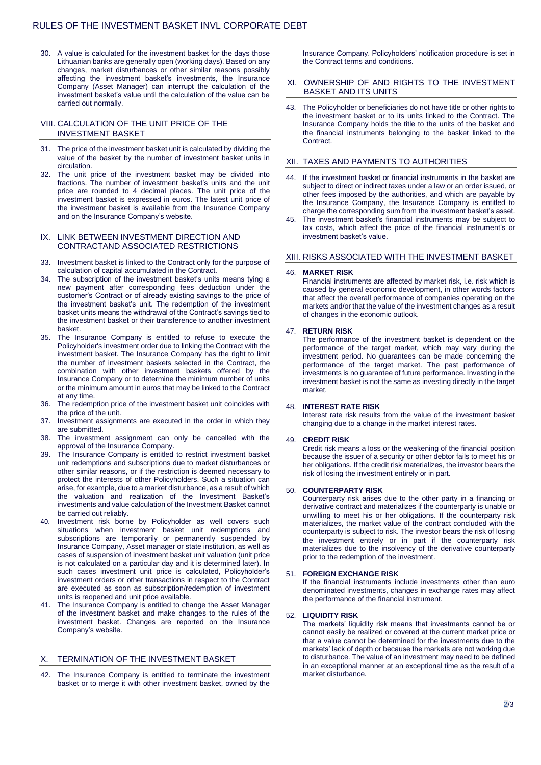30. A value is calculated for the investment basket for the days those Lithuanian banks are generally open (working days). Based on any changes, market disturbances or other similar reasons possibly affecting the investment basket's investments, the Insurance Company (Asset Manager) can interrupt the calculation of the investment basket's value until the calculation of the value can be carried out normally.

## VIII. CALCULATION OF THE UNIT PRICE OF THE INVESTMENT BASKET

- 31. The price of the investment basket unit is calculated by dividing the value of the basket by the number of investment basket units in circulation.
- 32. The unit price of the investment basket may be divided into fractions. The number of investment basket's units and the unit price are rounded to 4 decimal places. The unit price of the investment basket is expressed in euros. The latest unit price of the investment basket is available from the Insurance Company and on the Insurance Company's website.

#### IX. LINK BETWEEN INVESTMENT DIRECTION AND CONTRACTAND ASSOCIATED RESTRICTIONS

- 33. Investment basket is linked to the Contract only for the purpose of calculation of capital accumulated in the Contract.
- 34. The subscription of the investment basket's units means tying a new payment after corresponding fees deduction under the customer's Contract or of already existing savings to the price of the investment basket's unit. The redemption of the investment basket units means the withdrawal of the Contract's savings tied to the investment basket or their transference to another investment basket.
- 35. The Insurance Company is entitled to refuse to execute the Policyholder's investment order due to linking the Contract with the investment basket. The Insurance Company has the right to limit the number of investment baskets selected in the Contract, the combination with other investment baskets offered by the Insurance Company or to determine the minimum number of units or the minimum amount in euros that may be linked to the Contract at any time.
- 36. The redemption price of the investment basket unit coincides with the price of the unit.
- 37. Investment assignments are executed in the order in which they are submitted.
- 38. The investment assignment can only be cancelled with the approval of the Insurance Company.
- 39. The Insurance Company is entitled to restrict investment basket unit redemptions and subscriptions due to market disturbances or other similar reasons, or if the restriction is deemed necessary to protect the interests of other Policyholders. Such a situation can arise, for example, due to a market disturbance, as a result of which the valuation and realization of the Investment Basket's investments and value calculation of the Investment Basket cannot be carried out reliably.
- 40. Investment risk borne by Policyholder as well covers such situations when investment basket unit redemptions and subscriptions are temporarily or permanently suspended by Insurance Company, Asset manager or state institution, as well as cases of suspension of investment basket unit valuation (unit price is not calculated on a particular day and it is determined later). In such cases investment unit price is calculated, Policyholder's investment orders or other transactions in respect to the Contract are executed as soon as subscription/redemption of investment units is reopened and unit price available.
- 41. The Insurance Company is entitled to change the Asset Manager of the investment basket and make changes to the rules of the investment basket. Changes are reported on the Insurance Company's website.

# X. TERMINATION OF THE INVESTMENT BASKET

42. The Insurance Company is entitled to terminate the investment basket or to merge it with other investment basket, owned by the

Insurance Company. Policyholders' notification procedure is set in the Contract terms and conditions.

## XI. OWNERSHIP OF AND RIGHTS TO THE INVESTMENT BASKET AND ITS UNITS

43. The Policyholder or beneficiaries do not have title or other rights to the investment basket or to its units linked to the Contract. The Insurance Company holds the title to the units of the basket and the financial instruments belonging to the basket linked to the **Contract.** 

# XII. TAXES AND PAYMENTS TO AUTHORITIES

- 44. If the investment basket or financial instruments in the basket are subject to direct or indirect taxes under a law or an order issued, or other fees imposed by the authorities, and which are payable by the Insurance Company, the Insurance Company is entitled to charge the corresponding sum from the investment basket's asset.
- The investment basket's financial instruments may be subject to tax costs, which affect the price of the financial instrument's or investment basket's value.

#### XIII. RISKS ASSOCIATED WITH THE INVESTMENT BASKET

#### 46. **MARKET RISK**

Financial instruments are affected by market risk, i.e. risk which is caused by general economic development, in other words factors that affect the overall performance of companies operating on the markets and/or that the value of the investment changes as a result of changes in the economic outlook.

## 47. **RETURN RISK**

The performance of the investment basket is dependent on the performance of the target market, which may vary during the investment period. No guarantees can be made concerning the performance of the target market. The past performance of investments is no guarantee of future performance. Investing in the investment basket is not the same as investing directly in the target market.

# 48. **INTEREST RATE RISK**

Interest rate risk results from the value of the investment basket changing due to a change in the market interest rates.

## 49. **CREDIT RISK**

Credit risk means a loss or the weakening of the financial position because the issuer of a security or other debtor fails to meet his or her obligations. If the credit risk materializes, the investor bears the risk of losing the investment entirely or in part.

#### 50. **COUNTERPARTY RISK**

Counterparty risk arises due to the other party in a financing or derivative contract and materializes if the counterparty is unable or unwilling to meet his or her obligations. If the counterparty risk materializes, the market value of the contract concluded with the counterparty is subject to risk. The investor bears the risk of losing the investment entirely or in part if the counterparty risk materializes due to the insolvency of the derivative counterparty prior to the redemption of the investment.

## 51. **FOREIGN EXCHANGE RISK**

If the financial instruments include investments other than euro denominated investments, changes in exchange rates may affect the performance of the financial instrument.

#### 52. **LIQUIDITY RISK**

The markets' liquidity risk means that investments cannot be or cannot easily be realized or covered at the current market price or that a value cannot be determined for the investments due to the markets' lack of depth or because the markets are not working due to disturbance. The value of an investment may need to be defined in an exceptional manner at an exceptional time as the result of a market disturbance.